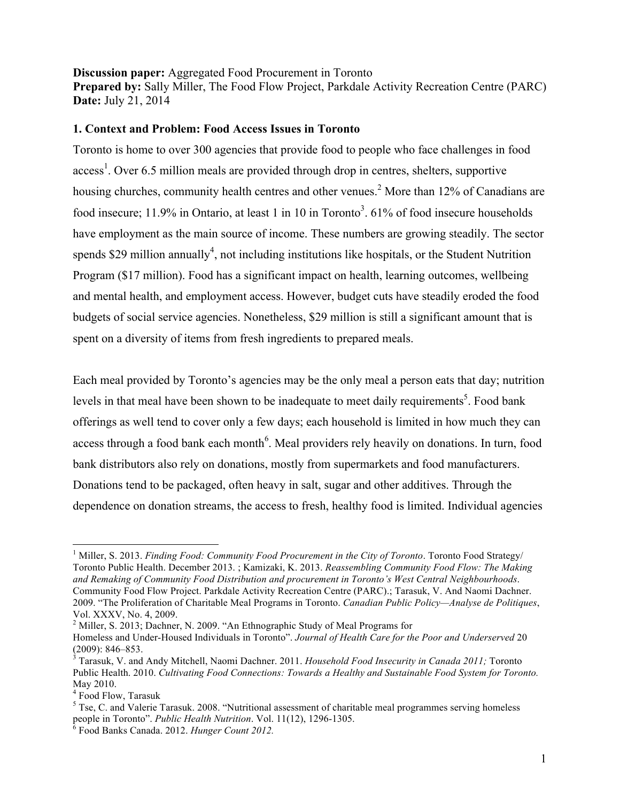### **Discussion paper:** Aggregated Food Procurement in Toronto **Prepared by:** Sally Miller, The Food Flow Project, Parkdale Activity Recreation Centre (PARC) **Date:** July 21, 2014

## **1. Context and Problem: Food Access Issues in Toronto**

Toronto is home to over 300 agencies that provide food to people who face challenges in food  $access<sup>1</sup>$ . Over 6.5 million meals are provided through drop in centres, shelters, supportive housing churches, community health centres and other venues.<sup>2</sup> More than 12% of Canadians are food insecure; 11.9% in Ontario, at least 1 in 10 in Toronto<sup>3</sup>. 61% of food insecure households have employment as the main source of income. These numbers are growing steadily. The sector spends \$29 million annually<sup>4</sup>, not including institutions like hospitals, or the Student Nutrition Program (\$17 million). Food has a significant impact on health, learning outcomes, wellbeing and mental health, and employment access. However, budget cuts have steadily eroded the food budgets of social service agencies. Nonetheless, \$29 million is still a significant amount that is spent on a diversity of items from fresh ingredients to prepared meals.

Each meal provided by Toronto's agencies may be the only meal a person eats that day; nutrition levels in that meal have been shown to be inadequate to meet daily requirements<sup>5</sup>. Food bank offerings as well tend to cover only a few days; each household is limited in how much they can access through a food bank each month<sup>6</sup>. Meal providers rely heavily on donations. In turn, food bank distributors also rely on donations, mostly from supermarkets and food manufacturers. Donations tend to be packaged, often heavy in salt, sugar and other additives. Through the dependence on donation streams, the access to fresh, healthy food is limited. Individual agencies

 $\frac{1}{1}$ <sup>1</sup> Miller, S. 2013. *Finding Food: Community Food Procurement in the City of Toronto*. Toronto Food Strategy/ Toronto Public Health. December 2013. ; Kamizaki, K. 2013. *Reassembling Community Food Flow: The Making and Remaking of Community Food Distribution and procurement in Toronto's West Central Neighbourhoods*. Community Food Flow Project. Parkdale Activity Recreation Centre (PARC).; Tarasuk, V. And Naomi Dachner. 2009. "The Proliferation of Charitable Meal Programs in Toronto. *Canadian Public Policy—Analyse de Politiques*, Vol. XXXV, No. 4, 2009.

<sup>&</sup>lt;sup>2</sup> Miller, S. 2013; Dachner, N. 2009. "An Ethnographic Study of Meal Programs for

Homeless and Under-Housed Individuals in Toronto". *Journal of Health Care for the Poor and Underserved* 20  $(2009): 846 - 853.$ 

Tarasuk, V. and Andy Mitchell, Naomi Dachner. 2011. *Household Food Insecurity in Canada 2011;* Toronto Public Health. 2010. *Cultivating Food Connections: Towards a Healthy and Sustainable Food System for Toronto.*  May 2010.

<sup>4</sup> Food Flow, Tarasuk

<sup>&</sup>lt;sup>5</sup> Tse, C. and Valerie Tarasuk. 2008. "Nutritional assessment of charitable meal programmes serving homeless people in Toronto". *Public Health Nutrition*. Vol. 11(12), 1296-1305. <sup>6</sup>

Food Banks Canada. 2012. *Hunger Count 2012.*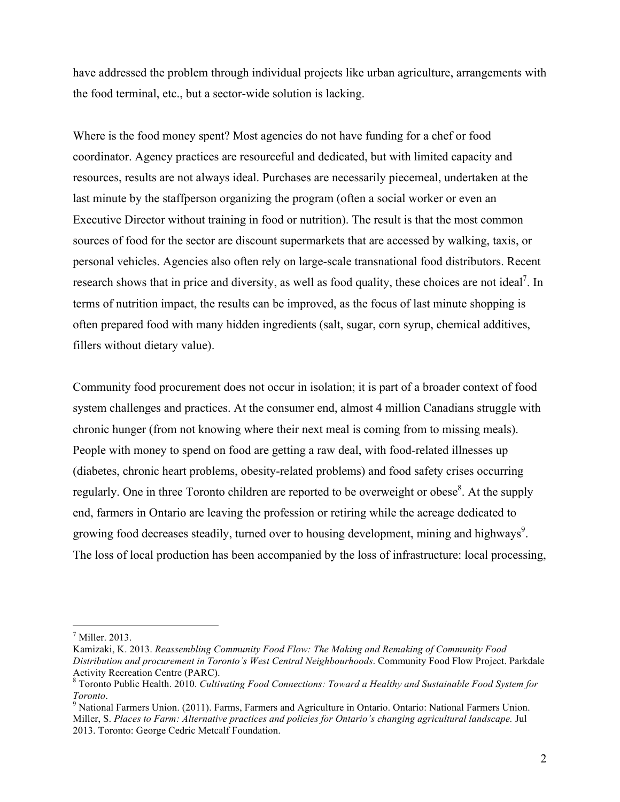have addressed the problem through individual projects like urban agriculture, arrangements with the food terminal, etc., but a sector-wide solution is lacking.

Where is the food money spent? Most agencies do not have funding for a chef or food coordinator. Agency practices are resourceful and dedicated, but with limited capacity and resources, results are not always ideal. Purchases are necessarily piecemeal, undertaken at the last minute by the staffperson organizing the program (often a social worker or even an Executive Director without training in food or nutrition). The result is that the most common sources of food for the sector are discount supermarkets that are accessed by walking, taxis, or personal vehicles. Agencies also often rely on large-scale transnational food distributors. Recent research shows that in price and diversity, as well as food quality, these choices are not ideal<sup>7</sup>. In terms of nutrition impact, the results can be improved, as the focus of last minute shopping is often prepared food with many hidden ingredients (salt, sugar, corn syrup, chemical additives, fillers without dietary value).

Community food procurement does not occur in isolation; it is part of a broader context of food system challenges and practices. At the consumer end, almost 4 million Canadians struggle with chronic hunger (from not knowing where their next meal is coming from to missing meals). People with money to spend on food are getting a raw deal, with food-related illnesses up (diabetes, chronic heart problems, obesity-related problems) and food safety crises occurring regularly. One in three Toronto children are reported to be overweight or obese<sup>8</sup>. At the supply end, farmers in Ontario are leaving the profession or retiring while the acreage dedicated to growing food decreases steadily, turned over to housing development, mining and highways<sup>9</sup>. The loss of local production has been accompanied by the loss of infrastructure: local processing,

<sup>-&</sup>lt;br>7  $<sup>7</sup>$  Miller. 2013.</sup>

Kamizaki, K. 2013. *Reassembling Community Food Flow: The Making and Remaking of Community Food Distribution and procurement in Toronto's West Central Neighbourhoods*. Community Food Flow Project. Parkdale Activity Recreation Centre (PARC).

<sup>8</sup> Toronto Public Health. 2010. *Cultivating Food Connections: Toward a Healthy and Sustainable Food System for*   $Tor onto.$ 

<sup>&</sup>lt;sup>9</sup> National Farmers Union. (2011). Farms, Farmers and Agriculture in Ontario. Ontario: National Farmers Union. Miller, S. *Places to Farm: Alternative practices and policies for Ontario's changing agricultural landscape.* Jul 2013. Toronto: George Cedric Metcalf Foundation.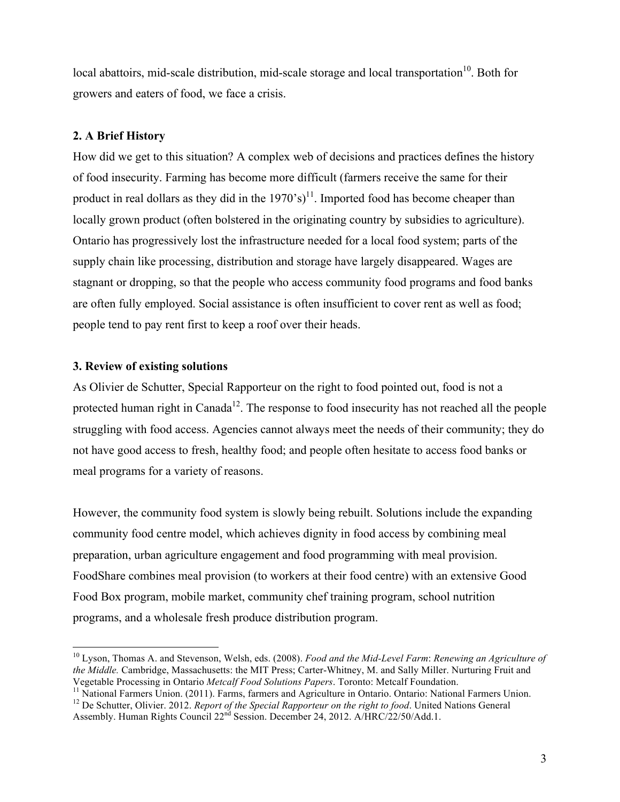local abattoirs, mid-scale distribution, mid-scale storage and local transportation<sup>10</sup>. Both for growers and eaters of food, we face a crisis.

### **2. A Brief History**

How did we get to this situation? A complex web of decisions and practices defines the history of food insecurity. Farming has become more difficult (farmers receive the same for their product in real dollars as they did in the  $1970^\circ s$ <sup>11</sup>. Imported food has become cheaper than locally grown product (often bolstered in the originating country by subsidies to agriculture). Ontario has progressively lost the infrastructure needed for a local food system; parts of the supply chain like processing, distribution and storage have largely disappeared. Wages are stagnant or dropping, so that the people who access community food programs and food banks are often fully employed. Social assistance is often insufficient to cover rent as well as food; people tend to pay rent first to keep a roof over their heads.

### **3. Review of existing solutions**

As Olivier de Schutter, Special Rapporteur on the right to food pointed out, food is not a protected human right in Canada<sup>12</sup>. The response to food insecurity has not reached all the people struggling with food access. Agencies cannot always meet the needs of their community; they do not have good access to fresh, healthy food; and people often hesitate to access food banks or meal programs for a variety of reasons.

However, the community food system is slowly being rebuilt. Solutions include the expanding community food centre model, which achieves dignity in food access by combining meal preparation, urban agriculture engagement and food programming with meal provision. FoodShare combines meal provision (to workers at their food centre) with an extensive Good Food Box program, mobile market, community chef training program, school nutrition programs, and a wholesale fresh produce distribution program.

 <sup>10</sup> Lyson, Thomas A. and Stevenson, Welsh, eds. (2008). *Food and the Mid-Level Farm*: *Renewing an Agriculture of the Middle.* Cambridge, Massachusetts: the MIT Press; Carter-Whitney, M. and Sally Miller. Nurturing Fruit and

Vegetable Processing in Ontario *Metcalf Food Solutions Papers*. Toronto: Metcalf Foundation. 11 National Farmers Union. (2011). Farms, farmers and Agriculture in Ontario. Ontario: National Farmers Union.

<sup>&</sup>lt;sup>12</sup> De Schutter, Olivier. 2012. *Report of the Special Rapporteur on the right to food*. United Nations General Assembly. Human Rights Council 22<sup>nd</sup> Session. December 24, 2012. A/HRC/22/50/Add.1.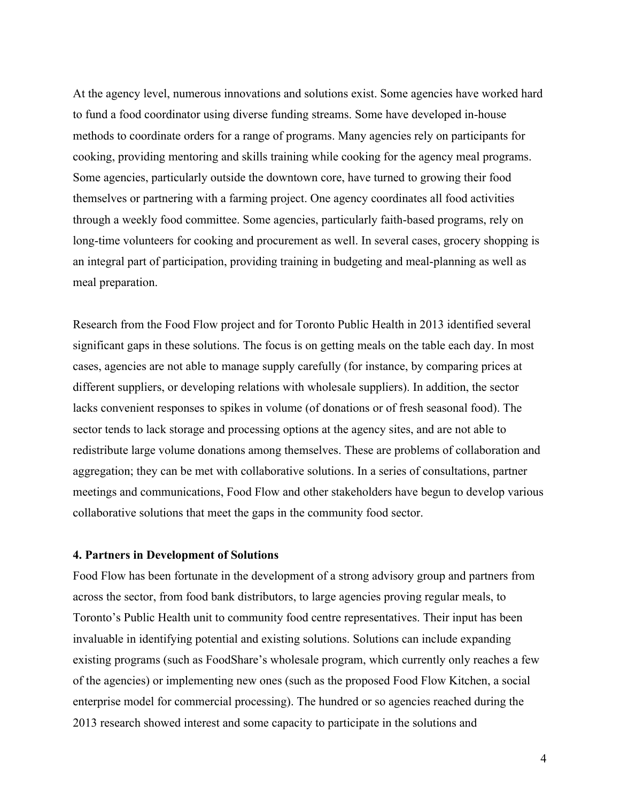At the agency level, numerous innovations and solutions exist. Some agencies have worked hard to fund a food coordinator using diverse funding streams. Some have developed in-house methods to coordinate orders for a range of programs. Many agencies rely on participants for cooking, providing mentoring and skills training while cooking for the agency meal programs. Some agencies, particularly outside the downtown core, have turned to growing their food themselves or partnering with a farming project. One agency coordinates all food activities through a weekly food committee. Some agencies, particularly faith-based programs, rely on long-time volunteers for cooking and procurement as well. In several cases, grocery shopping is an integral part of participation, providing training in budgeting and meal-planning as well as meal preparation.

Research from the Food Flow project and for Toronto Public Health in 2013 identified several significant gaps in these solutions. The focus is on getting meals on the table each day. In most cases, agencies are not able to manage supply carefully (for instance, by comparing prices at different suppliers, or developing relations with wholesale suppliers). In addition, the sector lacks convenient responses to spikes in volume (of donations or of fresh seasonal food). The sector tends to lack storage and processing options at the agency sites, and are not able to redistribute large volume donations among themselves. These are problems of collaboration and aggregation; they can be met with collaborative solutions. In a series of consultations, partner meetings and communications, Food Flow and other stakeholders have begun to develop various collaborative solutions that meet the gaps in the community food sector.

#### **4. Partners in Development of Solutions**

Food Flow has been fortunate in the development of a strong advisory group and partners from across the sector, from food bank distributors, to large agencies proving regular meals, to Toronto's Public Health unit to community food centre representatives. Their input has been invaluable in identifying potential and existing solutions. Solutions can include expanding existing programs (such as FoodShare's wholesale program, which currently only reaches a few of the agencies) or implementing new ones (such as the proposed Food Flow Kitchen, a social enterprise model for commercial processing). The hundred or so agencies reached during the 2013 research showed interest and some capacity to participate in the solutions and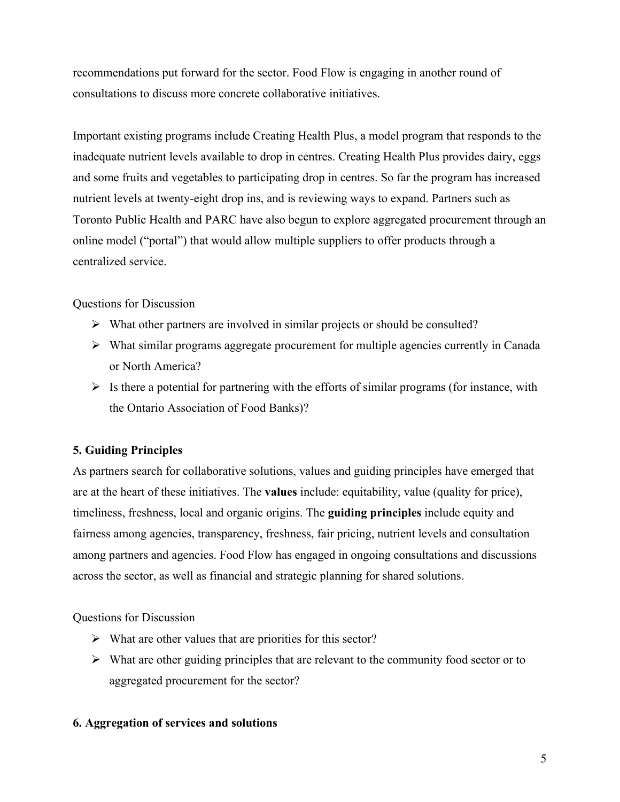recommendations put forward for the sector. Food Flow is engaging in another round of consultations to discuss more concrete collaborative initiatives.

Important existing programs include Creating Health Plus, a model program that responds to the inadequate nutrient levels available to drop in centres. Creating Health Plus provides dairy, eggs and some fruits and vegetables to participating drop in centres. So far the program has increased nutrient levels at twenty-eight drop ins, and is reviewing ways to expand. Partners such as Toronto Public Health and PARC have also begun to explore aggregated procurement through an online model ("portal") that would allow multiple suppliers to offer products through a centralized service.

Questions for Discussion

- $\triangleright$  What other partners are involved in similar projects or should be consulted?
- $\triangleright$  What similar programs aggregate procurement for multiple agencies currently in Canada or North America?
- $\triangleright$  Is there a potential for partnering with the efforts of similar programs (for instance, with the Ontario Association of Food Banks)?

## **5. Guiding Principles**

As partners search for collaborative solutions, values and guiding principles have emerged that are at the heart of these initiatives. The **values** include: equitability, value (quality for price), timeliness, freshness, local and organic origins. The **guiding principles** include equity and fairness among agencies, transparency, freshness, fair pricing, nutrient levels and consultation among partners and agencies. Food Flow has engaged in ongoing consultations and discussions across the sector, as well as financial and strategic planning for shared solutions.

Questions for Discussion

- $\triangleright$  What are other values that are priorities for this sector?
- $\triangleright$  What are other guiding principles that are relevant to the community food sector or to aggregated procurement for the sector?

### **6. Aggregation of services and solutions**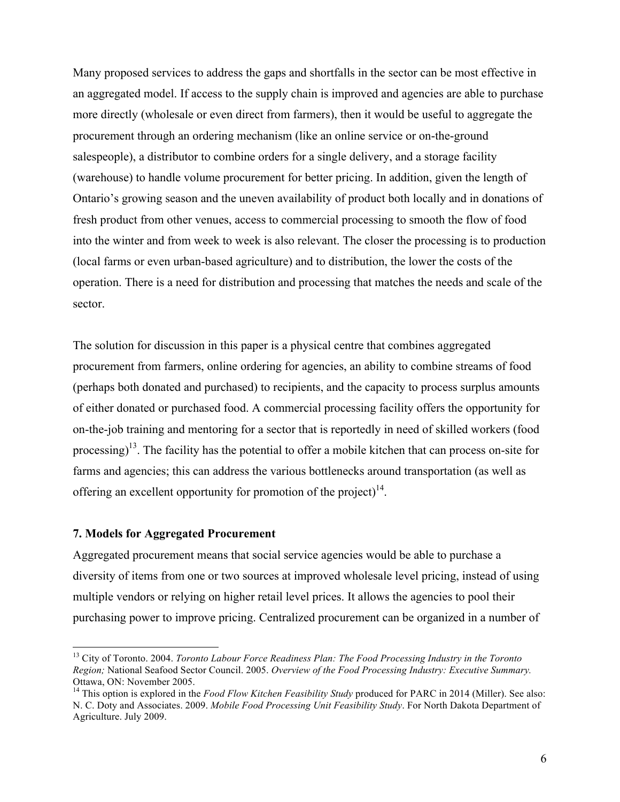Many proposed services to address the gaps and shortfalls in the sector can be most effective in an aggregated model. If access to the supply chain is improved and agencies are able to purchase more directly (wholesale or even direct from farmers), then it would be useful to aggregate the procurement through an ordering mechanism (like an online service or on-the-ground salespeople), a distributor to combine orders for a single delivery, and a storage facility (warehouse) to handle volume procurement for better pricing. In addition, given the length of Ontario's growing season and the uneven availability of product both locally and in donations of fresh product from other venues, access to commercial processing to smooth the flow of food into the winter and from week to week is also relevant. The closer the processing is to production (local farms or even urban-based agriculture) and to distribution, the lower the costs of the operation. There is a need for distribution and processing that matches the needs and scale of the sector.

The solution for discussion in this paper is a physical centre that combines aggregated procurement from farmers, online ordering for agencies, an ability to combine streams of food (perhaps both donated and purchased) to recipients, and the capacity to process surplus amounts of either donated or purchased food. A commercial processing facility offers the opportunity for on-the-job training and mentoring for a sector that is reportedly in need of skilled workers (food processing)<sup>13</sup>. The facility has the potential to offer a mobile kitchen that can process on-site for farms and agencies; this can address the various bottlenecks around transportation (as well as offering an excellent opportunity for promotion of the project) $14$ .

#### **7. Models for Aggregated Procurement**

Aggregated procurement means that social service agencies would be able to purchase a diversity of items from one or two sources at improved wholesale level pricing, instead of using multiple vendors or relying on higher retail level prices. It allows the agencies to pool their purchasing power to improve pricing. Centralized procurement can be organized in a number of

 <sup>13</sup> City of Toronto. 2004. *Toronto Labour Force Readiness Plan: The Food Processing Industry in the Toronto Region;* National Seafood Sector Council. 2005. *Overview of the Food Processing Industry: Executive Summary.*  Ottawa, ON: November 2005.

<sup>&</sup>lt;sup>14</sup> This option is explored in the *Food Flow Kitchen Feasibility Study* produced for PARC in 2014 (Miller). See also: N. C. Doty and Associates. 2009. *Mobile Food Processing Unit Feasibility Study*. For North Dakota Department of Agriculture. July 2009.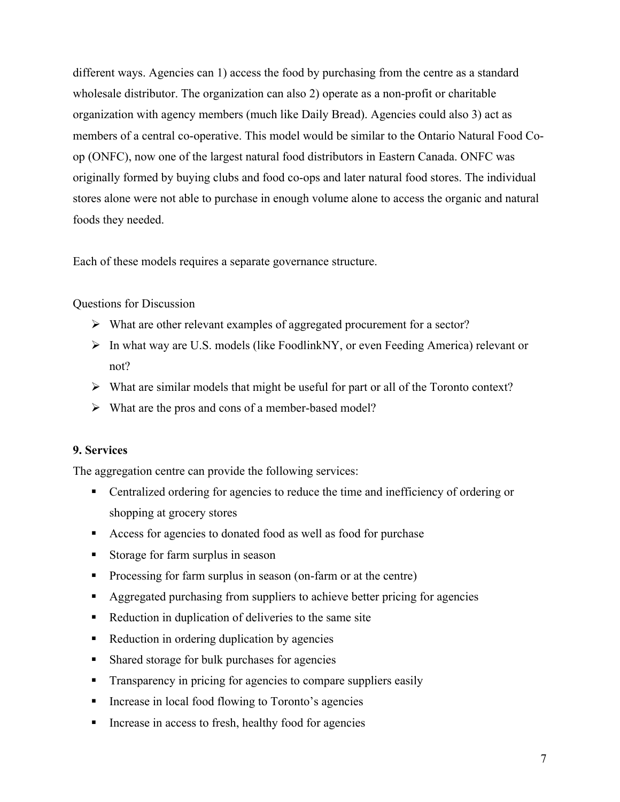different ways. Agencies can 1) access the food by purchasing from the centre as a standard wholesale distributor. The organization can also 2) operate as a non-profit or charitable organization with agency members (much like Daily Bread). Agencies could also 3) act as members of a central co-operative. This model would be similar to the Ontario Natural Food Coop (ONFC), now one of the largest natural food distributors in Eastern Canada. ONFC was originally formed by buying clubs and food co-ops and later natural food stores. The individual stores alone were not able to purchase in enough volume alone to access the organic and natural foods they needed.

Each of these models requires a separate governance structure.

Questions for Discussion

- $\triangleright$  What are other relevant examples of aggregated procurement for a sector?
- In what way are U.S. models (like FoodlinkNY, or even Feeding America) relevant or not?
- $\triangleright$  What are similar models that might be useful for part or all of the Toronto context?
- $\triangleright$  What are the pros and cons of a member-based model?

### **9. Services**

The aggregation centre can provide the following services:

- Centralized ordering for agencies to reduce the time and inefficiency of ordering or shopping at grocery stores
- Access for agencies to donated food as well as food for purchase
- Storage for farm surplus in season
- **Processing for farm surplus in season (on-farm or at the centre)**
- Aggregated purchasing from suppliers to achieve better pricing for agencies
- Reduction in duplication of deliveries to the same site
- Reduction in ordering duplication by agencies
- Shared storage for bulk purchases for agencies
- **Transparency in pricing for agencies to compare suppliers easily**
- **Increase in local food flowing to Toronto's agencies**
- **Increase in access to fresh, healthy food for agencies**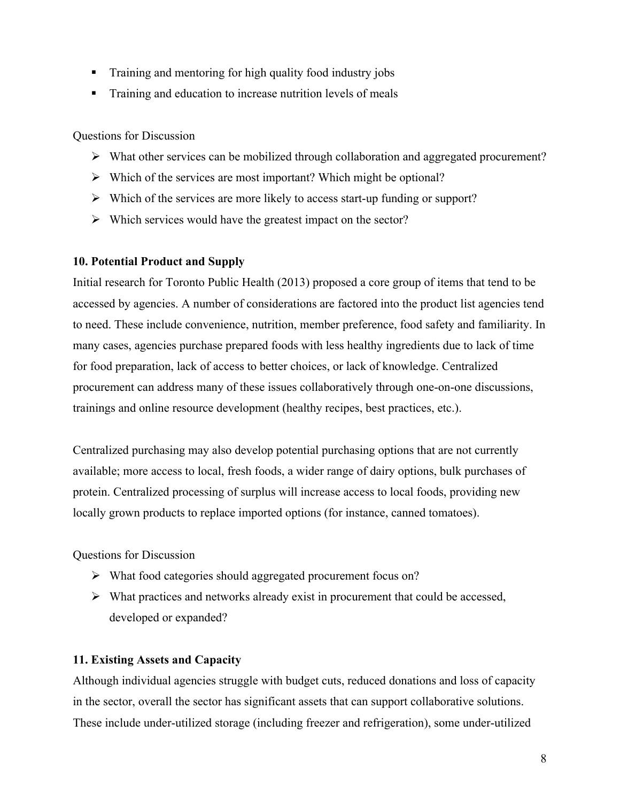- **Training and mentoring for high quality food industry jobs**
- **Training and education to increase nutrition levels of meals**

Questions for Discussion

- $\triangleright$  What other services can be mobilized through collaboration and aggregated procurement?
- $\triangleright$  Which of the services are most important? Which might be optional?
- $\triangleright$  Which of the services are more likely to access start-up funding or support?
- $\triangleright$  Which services would have the greatest impact on the sector?

## **10. Potential Product and Supply**

Initial research for Toronto Public Health (2013) proposed a core group of items that tend to be accessed by agencies. A number of considerations are factored into the product list agencies tend to need. These include convenience, nutrition, member preference, food safety and familiarity. In many cases, agencies purchase prepared foods with less healthy ingredients due to lack of time for food preparation, lack of access to better choices, or lack of knowledge. Centralized procurement can address many of these issues collaboratively through one-on-one discussions, trainings and online resource development (healthy recipes, best practices, etc.).

Centralized purchasing may also develop potential purchasing options that are not currently available; more access to local, fresh foods, a wider range of dairy options, bulk purchases of protein. Centralized processing of surplus will increase access to local foods, providing new locally grown products to replace imported options (for instance, canned tomatoes).

Questions for Discussion

- What food categories should aggregated procurement focus on?
- $\triangleright$  What practices and networks already exist in procurement that could be accessed, developed or expanded?

## **11. Existing Assets and Capacity**

Although individual agencies struggle with budget cuts, reduced donations and loss of capacity in the sector, overall the sector has significant assets that can support collaborative solutions. These include under-utilized storage (including freezer and refrigeration), some under-utilized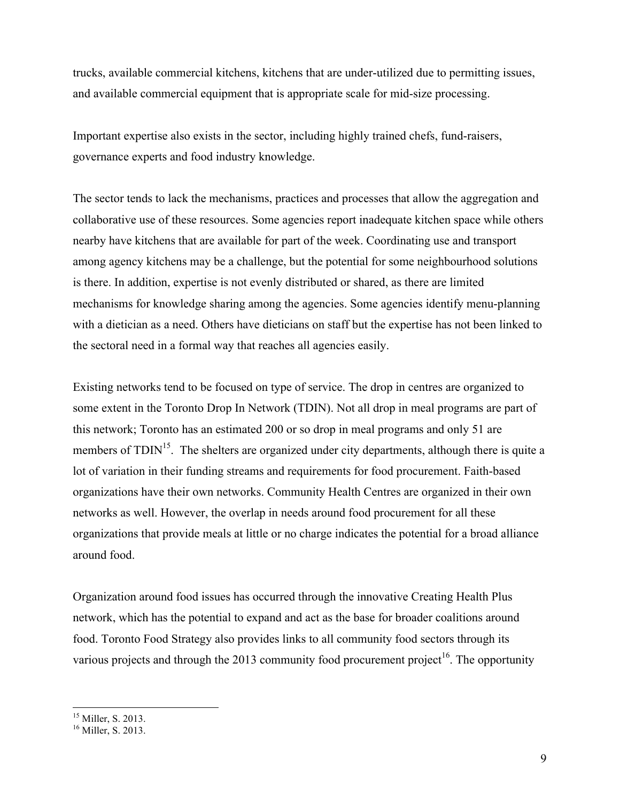trucks, available commercial kitchens, kitchens that are under-utilized due to permitting issues, and available commercial equipment that is appropriate scale for mid-size processing.

Important expertise also exists in the sector, including highly trained chefs, fund-raisers, governance experts and food industry knowledge.

The sector tends to lack the mechanisms, practices and processes that allow the aggregation and collaborative use of these resources. Some agencies report inadequate kitchen space while others nearby have kitchens that are available for part of the week. Coordinating use and transport among agency kitchens may be a challenge, but the potential for some neighbourhood solutions is there. In addition, expertise is not evenly distributed or shared, as there are limited mechanisms for knowledge sharing among the agencies. Some agencies identify menu-planning with a dietician as a need. Others have dieticians on staff but the expertise has not been linked to the sectoral need in a formal way that reaches all agencies easily.

Existing networks tend to be focused on type of service. The drop in centres are organized to some extent in the Toronto Drop In Network (TDIN). Not all drop in meal programs are part of this network; Toronto has an estimated 200 or so drop in meal programs and only 51 are members of  $TDIN<sup>15</sup>$ . The shelters are organized under city departments, although there is quite a lot of variation in their funding streams and requirements for food procurement. Faith-based organizations have their own networks. Community Health Centres are organized in their own networks as well. However, the overlap in needs around food procurement for all these organizations that provide meals at little or no charge indicates the potential for a broad alliance around food.

Organization around food issues has occurred through the innovative Creating Health Plus network, which has the potential to expand and act as the base for broader coalitions around food. Toronto Food Strategy also provides links to all community food sectors through its various projects and through the 2013 community food procurement project<sup>16</sup>. The opportunity

 $15$  Miller, S. 2013.

<sup>&</sup>lt;sup>16</sup> Miller, S. 2013.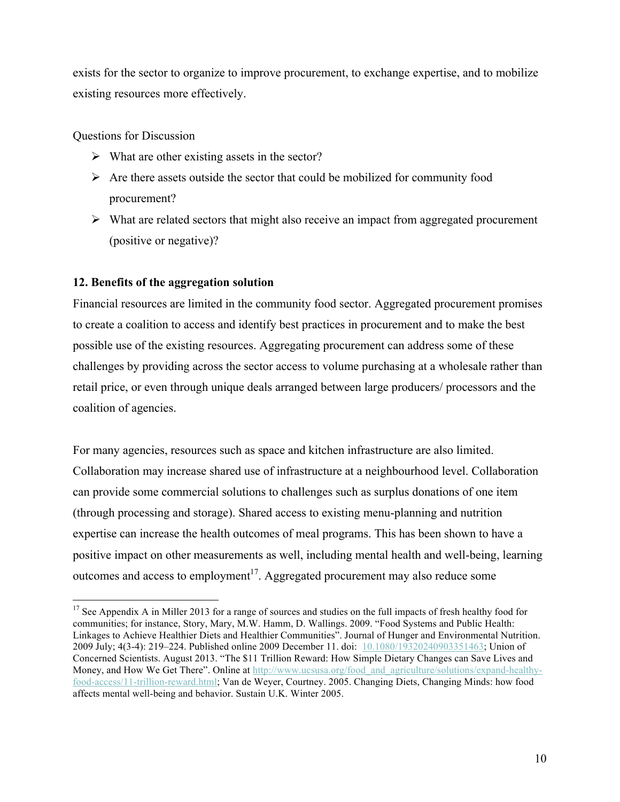exists for the sector to organize to improve procurement, to exchange expertise, and to mobilize existing resources more effectively.

Questions for Discussion

- $\triangleright$  What are other existing assets in the sector?
- $\triangleright$  Are there assets outside the sector that could be mobilized for community food procurement?
- $\triangleright$  What are related sectors that might also receive an impact from aggregated procurement (positive or negative)?

## **12. Benefits of the aggregation solution**

Financial resources are limited in the community food sector. Aggregated procurement promises to create a coalition to access and identify best practices in procurement and to make the best possible use of the existing resources. Aggregating procurement can address some of these challenges by providing across the sector access to volume purchasing at a wholesale rather than retail price, or even through unique deals arranged between large producers/ processors and the coalition of agencies.

For many agencies, resources such as space and kitchen infrastructure are also limited. Collaboration may increase shared use of infrastructure at a neighbourhood level. Collaboration can provide some commercial solutions to challenges such as surplus donations of one item (through processing and storage). Shared access to existing menu-planning and nutrition expertise can increase the health outcomes of meal programs. This has been shown to have a positive impact on other measurements as well, including mental health and well-being, learning outcomes and access to employment<sup>17</sup>. Aggregated procurement may also reduce some

<sup>&</sup>lt;sup>17</sup> See Appendix A in Miller 2013 for a range of sources and studies on the full impacts of fresh healthy food for communities; for instance, Story, Mary, M.W. Hamm, D. Wallings. 2009. "Food Systems and Public Health: Linkages to Achieve Healthier Diets and Healthier Communities". Journal of Hunger and Environmental Nutrition. 2009 July; 4(3-4): 219–224. Published online 2009 December 11. doi: 10.1080/19320240903351463; Union of Concerned Scientists. August 2013. "The \$11 Trillion Reward: How Simple Dietary Changes can Save Lives and Money, and How We Get There". Online at http://www.ucsusa.org/food\_and\_agriculture/solutions/expand-healthyfood-access/11-trillion-reward.html; Van de Weyer, Courtney. 2005. Changing Diets, Changing Minds: how food affects mental well-being and behavior. Sustain U.K. Winter 2005.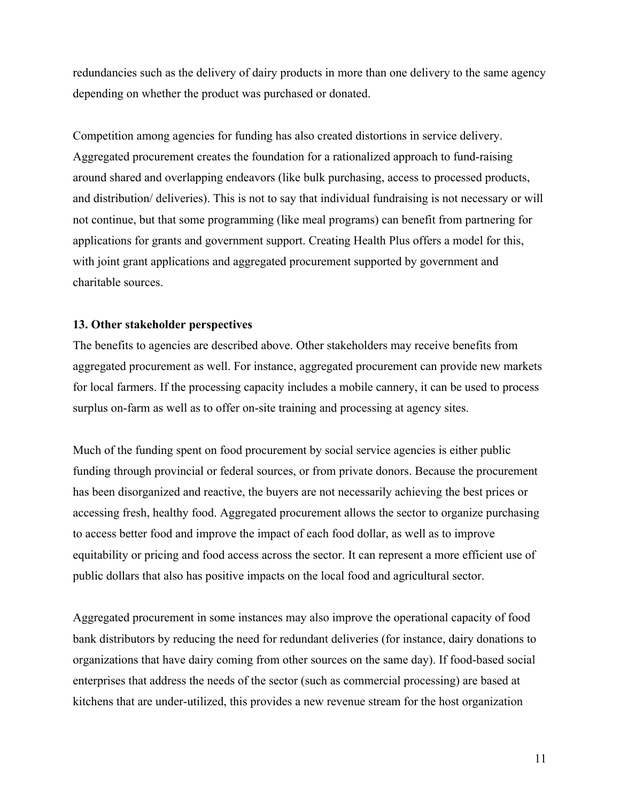redundancies such as the delivery of dairy products in more than one delivery to the same agency depending on whether the product was purchased or donated.

Competition among agencies for funding has also created distortions in service delivery. Aggregated procurement creates the foundation for a rationalized approach to fund-raising around shared and overlapping endeavors (like bulk purchasing, access to processed products, and distribution/ deliveries). This is not to say that individual fundraising is not necessary or will not continue, but that some programming (like meal programs) can benefit from partnering for applications for grants and government support. Creating Health Plus offers a model for this, with joint grant applications and aggregated procurement supported by government and charitable sources.

#### **13. Other stakeholder perspectives**

The benefits to agencies are described above. Other stakeholders may receive benefits from aggregated procurement as well. For instance, aggregated procurement can provide new markets for local farmers. If the processing capacity includes a mobile cannery, it can be used to process surplus on-farm as well as to offer on-site training and processing at agency sites.

Much of the funding spent on food procurement by social service agencies is either public funding through provincial or federal sources, or from private donors. Because the procurement has been disorganized and reactive, the buyers are not necessarily achieving the best prices or accessing fresh, healthy food. Aggregated procurement allows the sector to organize purchasing to access better food and improve the impact of each food dollar, as well as to improve equitability or pricing and food access across the sector. It can represent a more efficient use of public dollars that also has positive impacts on the local food and agricultural sector.

Aggregated procurement in some instances may also improve the operational capacity of food bank distributors by reducing the need for redundant deliveries (for instance, dairy donations to organizations that have dairy coming from other sources on the same day). If food-based social enterprises that address the needs of the sector (such as commercial processing) are based at kitchens that are under-utilized, this provides a new revenue stream for the host organization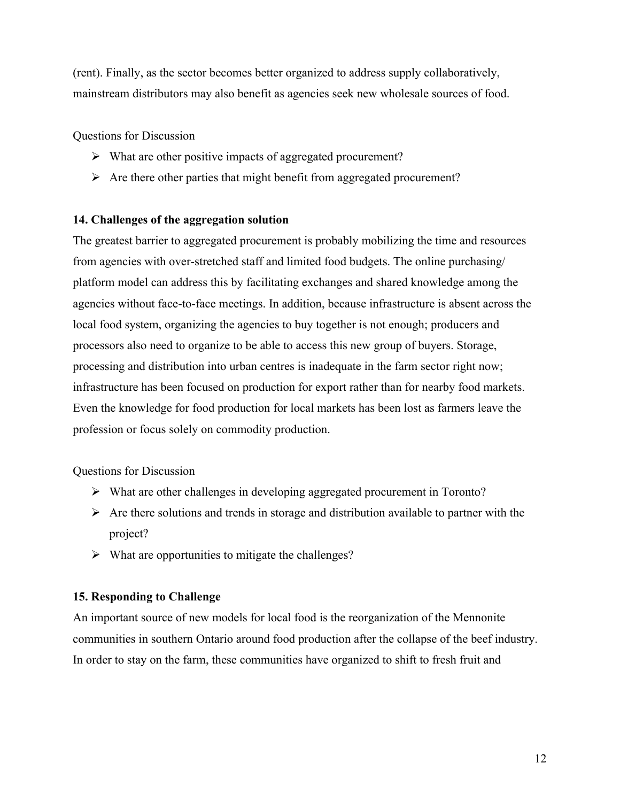(rent). Finally, as the sector becomes better organized to address supply collaboratively, mainstream distributors may also benefit as agencies seek new wholesale sources of food.

Questions for Discussion

- What are other positive impacts of aggregated procurement?
- $\triangleright$  Are there other parties that might benefit from aggregated procurement?

### **14. Challenges of the aggregation solution**

The greatest barrier to aggregated procurement is probably mobilizing the time and resources from agencies with over-stretched staff and limited food budgets. The online purchasing/ platform model can address this by facilitating exchanges and shared knowledge among the agencies without face-to-face meetings. In addition, because infrastructure is absent across the local food system, organizing the agencies to buy together is not enough; producers and processors also need to organize to be able to access this new group of buyers. Storage, processing and distribution into urban centres is inadequate in the farm sector right now; infrastructure has been focused on production for export rather than for nearby food markets. Even the knowledge for food production for local markets has been lost as farmers leave the profession or focus solely on commodity production.

Questions for Discussion

- What are other challenges in developing aggregated procurement in Toronto?
- $\triangleright$  Are there solutions and trends in storage and distribution available to partner with the project?
- $\triangleright$  What are opportunities to mitigate the challenges?

## **15. Responding to Challenge**

An important source of new models for local food is the reorganization of the Mennonite communities in southern Ontario around food production after the collapse of the beef industry. In order to stay on the farm, these communities have organized to shift to fresh fruit and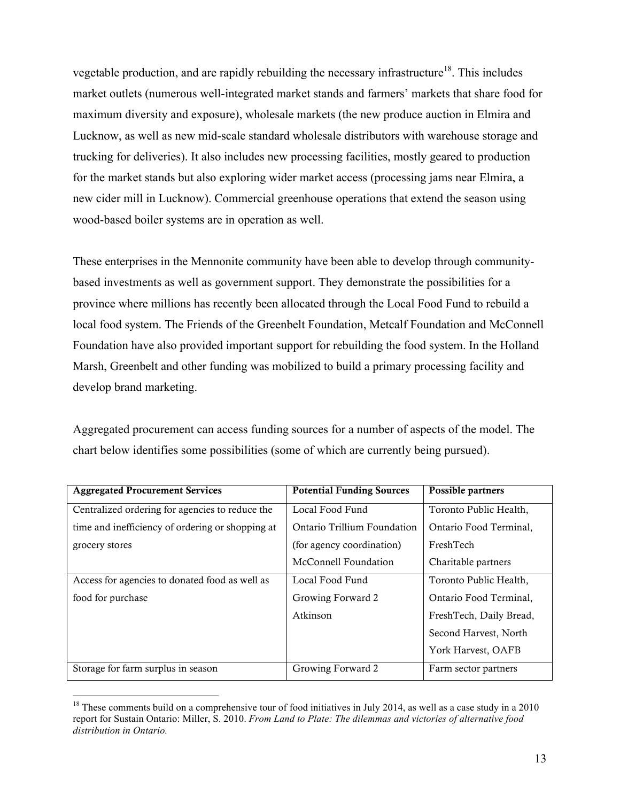vegetable production, and are rapidly rebuilding the necessary infrastructure<sup>18</sup>. This includes market outlets (numerous well-integrated market stands and farmers' markets that share food for maximum diversity and exposure), wholesale markets (the new produce auction in Elmira and Lucknow, as well as new mid-scale standard wholesale distributors with warehouse storage and trucking for deliveries). It also includes new processing facilities, mostly geared to production for the market stands but also exploring wider market access (processing jams near Elmira, a new cider mill in Lucknow). Commercial greenhouse operations that extend the season using wood-based boiler systems are in operation as well.

These enterprises in the Mennonite community have been able to develop through communitybased investments as well as government support. They demonstrate the possibilities for a province where millions has recently been allocated through the Local Food Fund to rebuild a local food system. The Friends of the Greenbelt Foundation, Metcalf Foundation and McConnell Foundation have also provided important support for rebuilding the food system. In the Holland Marsh, Greenbelt and other funding was mobilized to build a primary processing facility and develop brand marketing.

Aggregated procurement can access funding sources for a number of aspects of the model. The chart below identifies some possibilities (some of which are currently being pursued).

| <b>Aggregated Procurement Services</b>           | <b>Potential Funding Sources</b> | Possible partners       |
|--------------------------------------------------|----------------------------------|-------------------------|
| Centralized ordering for agencies to reduce the  | Local Food Fund                  | Toronto Public Health,  |
| time and inefficiency of ordering or shopping at | Ontario Trillium Foundation      | Ontario Food Terminal,  |
| grocery stores                                   | (for agency coordination)        | FreshTech               |
|                                                  | McConnell Foundation             | Charitable partners     |
| Access for agencies to donated food as well as   | Local Food Fund                  | Toronto Public Health,  |
| food for purchase                                | Growing Forward 2                | Ontario Food Terminal.  |
|                                                  | Atkinson                         | FreshTech, Daily Bread, |
|                                                  |                                  | Second Harvest, North   |
|                                                  |                                  | York Harvest, OAFB      |
| Storage for farm surplus in season               | Growing Forward 2                | Farm sector partners    |

<sup>&</sup>lt;sup>18</sup> These comments build on a comprehensive tour of food initiatives in July 2014, as well as a case study in a 2010 report for Sustain Ontario: Miller, S. 2010. *From Land to Plate: The dilemmas and victories of alternative food distribution in Ontario.*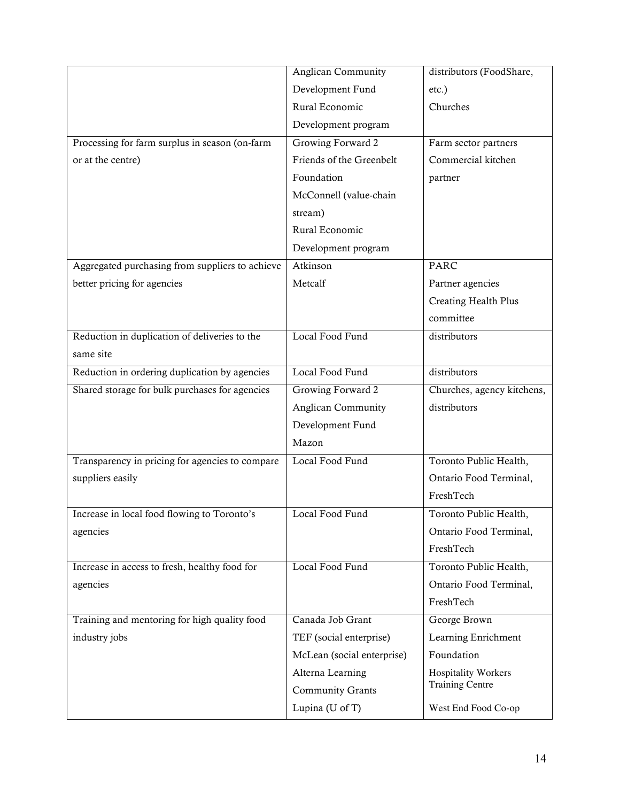|                                                 | <b>Anglican Community</b>  | distributors (FoodShare,   |
|-------------------------------------------------|----------------------------|----------------------------|
|                                                 | Development Fund           | etc.)                      |
|                                                 | Rural Economic             | Churches                   |
|                                                 | Development program        |                            |
| Processing for farm surplus in season (on-farm  | Growing Forward 2          | Farm sector partners       |
| or at the centre)                               | Friends of the Greenbelt   | Commercial kitchen         |
|                                                 | Foundation                 | partner                    |
|                                                 | McConnell (value-chain     |                            |
|                                                 | stream)                    |                            |
|                                                 | Rural Economic             |                            |
|                                                 | Development program        |                            |
| Aggregated purchasing from suppliers to achieve | Atkinson                   | <b>PARC</b>                |
| better pricing for agencies                     | Metcalf                    | Partner agencies           |
|                                                 |                            | Creating Health Plus       |
|                                                 |                            | committee                  |
| Reduction in duplication of deliveries to the   | Local Food Fund            | distributors               |
| same site                                       |                            |                            |
| Reduction in ordering duplication by agencies   | Local Food Fund            | distributors               |
| Shared storage for bulk purchases for agencies  | Growing Forward 2          | Churches, agency kitchens, |
|                                                 | <b>Anglican Community</b>  | distributors               |
|                                                 | Development Fund           |                            |
|                                                 | Mazon                      |                            |
| Transparency in pricing for agencies to compare | Local Food Fund            | Toronto Public Health,     |
| suppliers easily                                |                            | Ontario Food Terminal,     |
|                                                 |                            | FreshTech                  |
| Increase in local food flowing to Toronto's     | Local Food Fund            | Toronto Public Health,     |
|                                                 |                            | Ontario Food Terminal,     |
| agencies                                        |                            |                            |
|                                                 |                            | FreshTech                  |
| Increase in access to fresh, healthy food for   | Local Food Fund            | Toronto Public Health,     |
| agencies                                        |                            | Ontario Food Terminal,     |
|                                                 |                            | FreshTech                  |
| Training and mentoring for high quality food    | Canada Job Grant           | George Brown               |
| industry jobs                                   | TEF (social enterprise)    | Learning Enrichment        |
|                                                 | McLean (social enterprise) | Foundation                 |
|                                                 | Alterna Learning           | <b>Hospitality Workers</b> |
|                                                 | <b>Community Grants</b>    | <b>Training Centre</b>     |
|                                                 | Lupina (U of T)            | West End Food Co-op        |